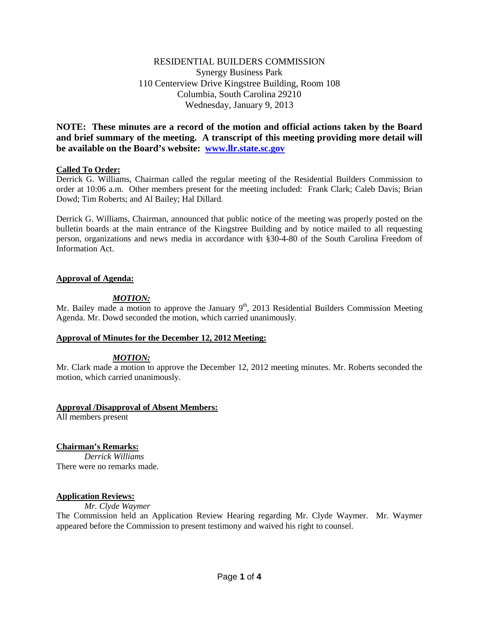# RESIDENTIAL BUILDERS COMMISSION Synergy Business Park 110 Centerview Drive Kingstree Building, Room 108 Columbia, South Carolina 29210 Wednesday, January 9, 2013

**NOTE: These minutes are a record of the motion and official actions taken by the Board and brief summary of the meeting. A transcript of this meeting providing more detail will be available on the Board's website: [www.llr.state.sc.gov](http://www.llr.state.sc.gov/)**

# **Called To Order:**

Derrick G. Williams, Chairman called the regular meeting of the Residential Builders Commission to order at 10:06 a.m. Other members present for the meeting included: Frank Clark; Caleb Davis; Brian Dowd; Tim Roberts; and Al Bailey; Hal Dillard.

Derrick G. Williams, Chairman, announced that public notice of the meeting was properly posted on the bulletin boards at the main entrance of the Kingstree Building and by notice mailed to all requesting person, organizations and news media in accordance with §30-4-80 of the South Carolina Freedom of Information Act.

# **Approval of Agenda:**

# *MOTION:*

Mr. Bailey made a motion to approve the January  $9<sup>th</sup>$ , 2013 Residential Builders Commission Meeting Agenda. Mr. Dowd seconded the motion, which carried unanimously.

## **Approval of Minutes for the December 12, 2012 Meeting:**

# *MOTION:*

Mr. Clark made a motion to approve the December 12, 2012 meeting minutes. Mr. Roberts seconded the motion, which carried unanimously.

## **Approval /Disapproval of Absent Members:**

All members present

# **Chairman's Remarks:**

*Derrick Williams* There were no remarks made.

## **Application Reviews:**

*Mr. Clyde Waymer*

The Commission held an Application Review Hearing regarding Mr. Clyde Waymer. Mr. Waymer appeared before the Commission to present testimony and waived his right to counsel.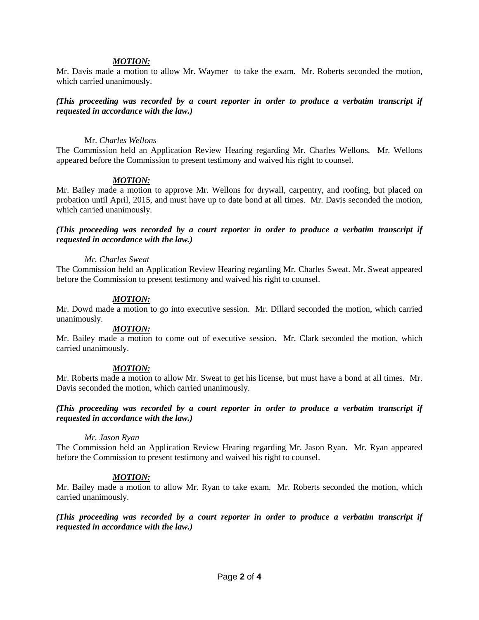#### *MOTION:*

Mr. Davis made a motion to allow Mr. Waymer to take the exam. Mr. Roberts seconded the motion, which carried unanimously.

## *(This proceeding was recorded by a court reporter in order to produce a verbatim transcript if requested in accordance with the law.)*

#### Mr. *Charles Wellons*

The Commission held an Application Review Hearing regarding Mr. Charles Wellons. Mr. Wellons appeared before the Commission to present testimony and waived his right to counsel.

#### *MOTION:*

Mr. Bailey made a motion to approve Mr. Wellons for drywall, carpentry, and roofing, but placed on probation until April, 2015, and must have up to date bond at all times. Mr. Davis seconded the motion, which carried unanimously.

#### *(This proceeding was recorded by a court reporter in order to produce a verbatim transcript if requested in accordance with the law.)*

#### *Mr. Charles Sweat*

The Commission held an Application Review Hearing regarding Mr. Charles Sweat. Mr. Sweat appeared before the Commission to present testimony and waived his right to counsel.

#### *MOTION:*

Mr. Dowd made a motion to go into executive session. Mr. Dillard seconded the motion, which carried unanimously.

## *MOTION:*

Mr. Bailey made a motion to come out of executive session. Mr. Clark seconded the motion, which carried unanimously.

## *MOTION:*

Mr. Roberts made a motion to allow Mr. Sweat to get his license, but must have a bond at all times. Mr. Davis seconded the motion, which carried unanimously.

#### *(This proceeding was recorded by a court reporter in order to produce a verbatim transcript if requested in accordance with the law.)*

#### *Mr. Jason Ryan*

The Commission held an Application Review Hearing regarding Mr. Jason Ryan. Mr. Ryan appeared before the Commission to present testimony and waived his right to counsel.

## *MOTION:*

Mr. Bailey made a motion to allow Mr. Ryan to take exam. Mr. Roberts seconded the motion, which carried unanimously.

*(This proceeding was recorded by a court reporter in order to produce a verbatim transcript if requested in accordance with the law.)*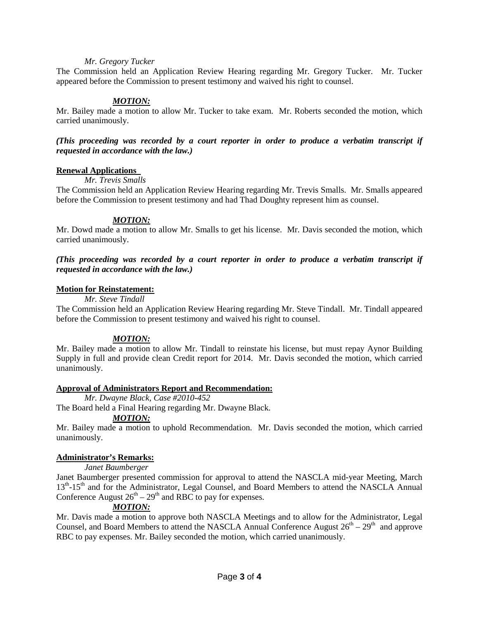## *Mr. Gregory Tucker*

The Commission held an Application Review Hearing regarding Mr. Gregory Tucker. Mr. Tucker appeared before the Commission to present testimony and waived his right to counsel.

## *MOTION:*

Mr. Bailey made a motion to allow Mr. Tucker to take exam. Mr. Roberts seconded the motion, which carried unanimously.

## *(This proceeding was recorded by a court reporter in order to produce a verbatim transcript if requested in accordance with the law.)*

#### **Renewal Applications**

#### *Mr. Trevis Smalls*

The Commission held an Application Review Hearing regarding Mr. Trevis Smalls. Mr. Smalls appeared before the Commission to present testimony and had Thad Doughty represent him as counsel.

#### *MOTION:*

Mr. Dowd made a motion to allow Mr. Smalls to get his license. Mr. Davis seconded the motion, which carried unanimously.

*(This proceeding was recorded by a court reporter in order to produce a verbatim transcript if requested in accordance with the law.)*

#### **Motion for Reinstatement:**

*Mr. Steve Tindall*

The Commission held an Application Review Hearing regarding Mr. Steve Tindall. Mr. Tindall appeared before the Commission to present testimony and waived his right to counsel.

## *MOTION:*

Mr. Bailey made a motion to allow Mr. Tindall to reinstate his license, but must repay Aynor Building Supply in full and provide clean Credit report for 2014. Mr. Davis seconded the motion, which carried unanimously.

## **Approval of Administrators Report and Recommendation:**

*Mr. Dwayne Black, Case #2010-452*

The Board held a Final Hearing regarding Mr. Dwayne Black.

# *MOTION:*

Mr. Bailey made a motion to uphold Recommendation. Mr. Davis seconded the motion, which carried unanimously.

## **Administrator's Remarks:**

## *Janet Baumberger*

Janet Baumberger presented commission for approval to attend the NASCLA mid-year Meeting, March 13<sup>th</sup>-15<sup>th</sup> and for the Administrator, Legal Counsel, and Board Members to attend the NASCLA Annual Conference August  $26<sup>th</sup> - 29<sup>th</sup>$  and RBC to pay for expenses.

# *MOTION:*

Mr. Davis made a motion to approve both NASCLA Meetings and to allow for the Administrator, Legal Counsel, and Board Members to attend the NASCLA Annual Conference August  $26^{th} - 29^{th}$  and approve RBC to pay expenses. Mr. Bailey seconded the motion, which carried unanimously.